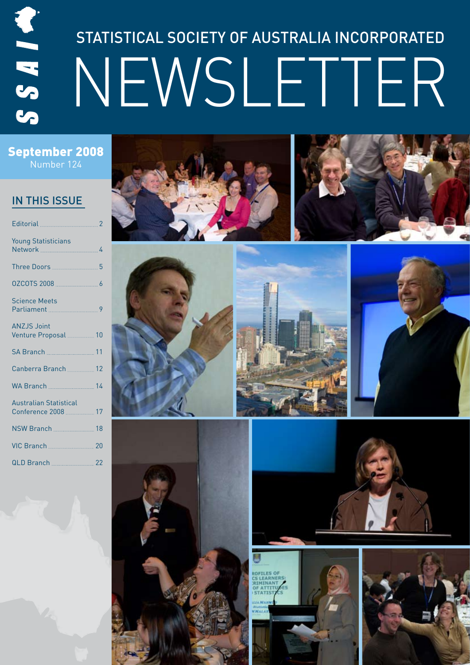# SSAIA

# STATISTICAL SOCIETY OF AUSTRALIA INCORPORATED NEWSLETTER

### September 2008 Number 124

### In this issue

| <b>Young Statisticians</b><br>Network 2004  |  |
|---------------------------------------------|--|
|                                             |  |
|                                             |  |
| <b>Science Meets</b><br>Parliament 2000     |  |
| <b>ANZJS Joint</b><br>Venture Proposal 2000 |  |
|                                             |  |
|                                             |  |
|                                             |  |
| <b>Australian Statistical</b>               |  |
|                                             |  |
| VIC Branch 20                               |  |
| QLD Branch 22                               |  |
|                                             |  |





















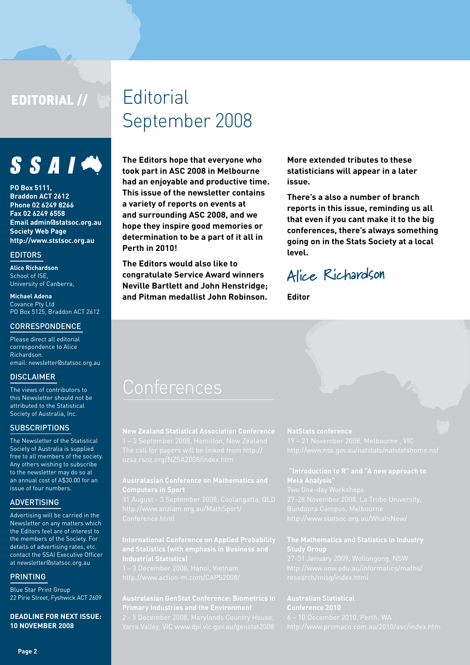# EDITORIAL //

# $S S A I A$

**PO Box 5111, Braddon ACT 2612 Phone 02 6249 8266 Fax 02 6249 6558 Email admin@statsoc.org.au Society Web Page http://www.ststsoc.org.au**

### **EDITORS**

**Alice Richardson** School of ISE. University of Canberra,

**Michael Adena** Covance Pty Ltd PO Box 5125, Braddon ACT 2612

### **CORRESPONDENCE**

Please direct all editorial correspondence to Alice Richardson. email: newsletter@statsoc.org.au

#### **DISCLAIMER**

The views of contributors to this Newsletter should not be attributed to the Statistical Society of Australia, Inc.

#### **SUBSCRIPTIONS**

The Newsletter of the Statistical Society of Australia is supplied free to all members of the society. Any others wishing to subscribe to the newsletter may do so at an annual cost of A\$30.00 for an issue of four numbers.

### **ADVERTISING**

Advertising will be carried in the Newsletter on any matters which the Editors feel are of interest to the members of the Society. For details of advertising rates, etc. contact the SSAI Executive Officer at newsletter@statsoc.org.au

### **PRINTING**

Blue Star Print Group 22 Pirie Street, Fyshwick ACT 2609

#### **DEADLINE FOR NEXT ISSUE: 10 NOVEMBER 2008**

# **Editorial** September 2008

**The Editors hope that everyone who took part in ASC 2008 in Melbourne had an enjoyable and productive time. This issue of the newsletter contains a variety of reports on events at and surrounding ASC 2008, and we hope they inspire good memories or determination to be a part of it all in Perth in 2010!**

**The Editors would also like to congratulate Service Award winners Neville Bartlett and John Henstridge; and Pitman medallist John Robinson.** 

**More extended tributes to these statisticians will appear in a later issue.**

**There's a also a number of branch reports in this issue, reminding us all that even if you cant make it to the big conferences, there's always something going on in the Stats Society at a local level.**

# **Alice Richardson**

**Editor**

#### **Australasian Conference on Mathematics and Computers in Sport**

**International Conference on Applied Probability** 

#### **NatStats conference**

#### **"Introduction to R" and "A new approach to Meta Analysis"**

# **Australian Statistical**

**Page 2**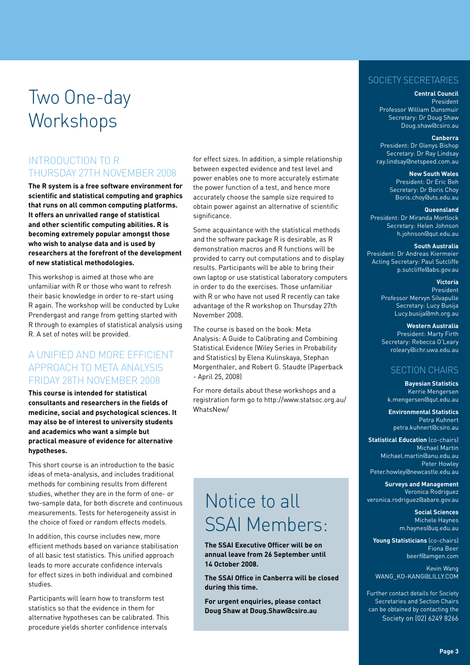# Two One-day Workshops

### Introduction to R Thursday 27th November 2008

**The R system is a free software environment for scientific and statistical computing and graphics that runs on all common computing platforms. It offers an unrivalled range of statistical and other scientific computing abilities. R is becoming extremely popular amongst those who wish to analyse data and is used by researchers at the forefront of the development of new statistical methodologies.**

This workshop is aimed at those who are unfamiliar with R or those who want to refresh their basic knowledge in order to re-start using R again. The workshop will be conducted by Luke Prendergast and range from getting started with R through to examples of statistical analysis using R. A set of notes will be provided.

### A Unified and More Efficient Approach to Meta Analysis Friday 28th November 2008

**This course is intended for statistical consultants and researchers in the fields of medicine, social and psychological sciences. It may also be of interest to university students and academics who want a simple but practical measure of evidence for alternative hypotheses.** 

This short course is an introduction to the basic ideas of meta-analysis, and includes traditional methods for combining results from different studies, whether they are in the form of one- or two-sample data, for both discrete and continuous measurements. Tests for heterogeneity assist in the choice of fixed or random effects models.

In addition, this course includes new, more efficient methods based on variance stabilisation of all basic test statistics. This unified approach leads to more accurate confidence intervals for effect sizes in both individual and combined studies.

Participants will learn how to transform test statistics so that the evidence in them for alternative hypotheses can be calibrated. This procedure yields shorter confidence intervals

for effect sizes. In addition, a simple relationship between expected evidence and test level and power enables one to more accurately estimate the power function of a test, and hence more accurately choose the sample size required to obtain power against an alternative of scientific significance.

Some acquaintance with the statistical methods and the software package R is desirable, as R demonstration macros and R functions will be provided to carry out computations and to display results. Participants will be able to bring their own laptop or use statistical laboratory computers in order to do the exercises. Those unfamiliar with R or who have not used R recently can take advantage of the R workshop on Thursday 27th November 2008.

The course is based on the book: Meta Analysis: A Guide to Calibrating and Combining Statistical Evidence (Wiley Series in Probability and Statistics) by Elena Kulinskaya, Stephan Morgenthaler, and Robert G. Staudte (Paperback - April 25, 2008)

For more details about these workshops and a registration form go to http://www.statsoc.org.au/ WhatsNew/

# Notice to all SSAI Members:

**The SSAI Executive Officer will be on annual leave from 26 September until 14 October 2008.**

**The SSAI Office in Canberra will be closed during this time.**

**For urgent enquiries, please contact Doug Shaw at Doug.Shaw@csiro.au**

### Society Secretaries

### **Central Council**

President Professor William Dunsmuir Secretary: Dr Doug Shaw Doug.shaw@csiro.au

**Canberra** President: Dr Glenys Bishop Secretary: Dr Ray Lindsay ray.lindsay@netspeed.com.au

#### **New South Wales**

President: Dr Eric Beh Secretary: Dr Boris Choy Boris.choy@uts.edu.au

**Queensland**

President: Dr Miranda Mortlock Secretary: Helen Johnson h.johnson@qut.edu.au

#### **South Australia**

President: Dr Andreas Kiermeier Acting Secretary: Paul Sutcliffe p.sutcliffe@abs.gov.au

### **Victoria**

**President** Professor Mervyn Silvapulle Secretary: Lucy Busija Lucy.busija@mh.org.au

**Western Australia** President: Marty Firth Secretary: Rebecca O'Leary roleary@ichr.uwa.edu.au

### Section Chairs

**Bayesian Statistics** Kerrie Mengersen k.mengersen@qut.edu.au

**Environmental Statistics** Petra Kuhnert petra.kuhnert@csiro.au

**Statistical Education** (co-chairs) Michael Martin Michael.martin@anu.edu.au Peter Howley Peter.howley@newcastle.edu.au

**Surveys and Management** Veronica Rodriguez veronica.rodriguez@abare.gov.au

> **Social Sciences** Michele Haynes m.haynes@uq.edu.au

**Young Statisticians** (co-chairs) Fiona Beer beerf@amgen.com

Kevin Wang WANG\_KO-KANG@LILLY.COM

Further contact details for Society Secretaries and Section Chairs can be obtained by contacting the Society on (02) 6249 8266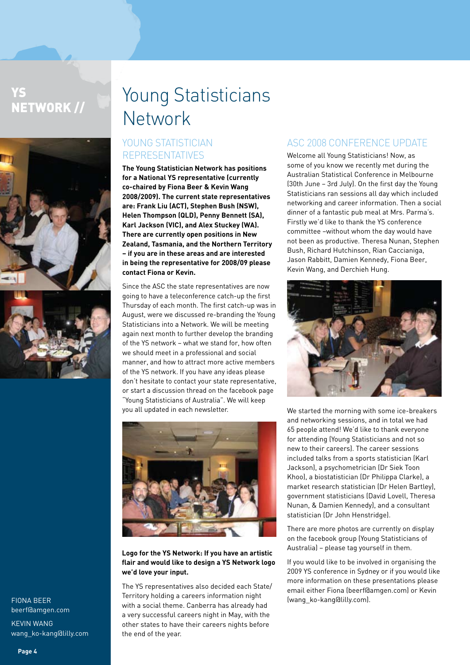# YS Network //



Fiona Beer beerf@amgen.com

Kevin Wang wang\_ko-kang@lilly.com

# Young Statisticians Network

### YOUNG STATISTICIAN Representatives

**The Young Statistician Network has positions for a National YS representative (currently co-chaired by Fiona Beer & Kevin Wang 2008/2009). The current state representatives are: Frank Liu (ACT), Stephen Bush (NSW), Helen Thompson (QLD), Penny Bennett (SA), Karl Jackson (VIC), and Alex Stuckey (WA). There are currently open positions in New Zealand, Tasmania, and the Northern Territory – if you are in these areas and are interested in being the representative for 2008/09 please contact Fiona or Kevin.**

Since the ASC the state representatives are now going to have a teleconference catch-up the first Thursday of each month. The first catch-up was in August, were we discussed re-branding the Young Statisticians into a Network. We will be meeting again next month to further develop the branding of the YS network – what we stand for, how often we should meet in a professional and social manner, and how to attract more active members of the YS network. If you have any ideas please don't hesitate to contact your state representative, or start a discussion thread on the facebook page "Young Statisticians of Australia". We will keep you all updated in each newsletter.



**Logo for the YS Network: If you have an artistic flair and would like to design a YS Network logo we'd love your input.**

The YS representatives also decided each State/ Territory holding a careers information night with a social theme. Canberra has already had a very successful careers night in May, with the other states to have their careers nights before the end of the year.

### ASC 2008 Conference Update

Welcome all Young Statisticians! Now, as some of you know we recently met during the Australian Statistical Conference in Melbourne (30th June – 3rd July). On the first day the Young Statisticians ran sessions all day which included networking and career information. Then a social dinner of a fantastic pub meal at Mrs. Parma's. Firstly we'd like to thank the YS conference committee –without whom the day would have not been as productive. Theresa Nunan, Stephen Bush, Richard Hutchinson, Rian Caccianiga, Jason Rabbitt, Damien Kennedy, Fiona Beer, Kevin Wang, and Derchieh Hung.



We started the morning with some ice-breakers and networking sessions, and in total we had 65 people attend! We'd like to thank everyone for attending (Young Statisticians and not so new to their careers). The career sessions included talks from a sports statistician (Karl Jackson), a psychometrician (Dr Siek Toon Khoo), a biostatistician (Dr Philippa Clarke), a market research statistician (Dr Helen Bartley), government statisticians (David Lovell, Theresa Nunan, & Damien Kennedy), and a consultant statistician (Dr John Henstridge).

There are more photos are currently on display on the facebook group (Young Statisticians of Australia) – please tag yourself in them.

If you would like to be involved in organising the 2009 YS conference in Sydney or if you would like more information on these presentations please email either Fiona (beerf@amgen.com) or Kevin (wang\_ko-kang@lilly.com).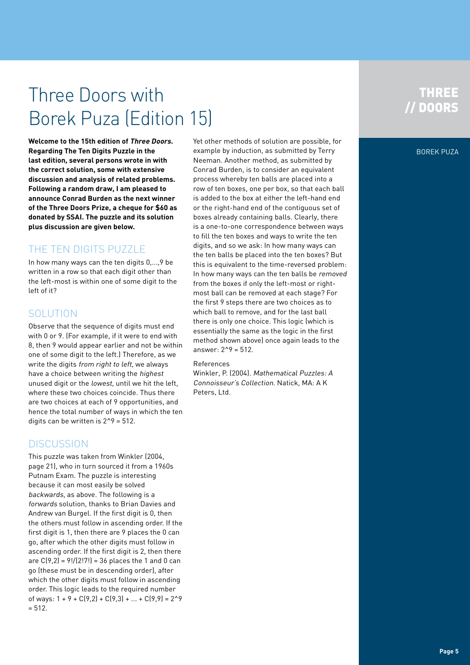# Three Doors with Borek Puza (Edition 15)

**Welcome to the 15th edition of Three Doors. Regarding The Ten Digits Puzzle in the last edition, several persons wrote in with the correct solution, some with extensive discussion and analysis of related problems. Following a random draw, I am pleased to announce Conrad Burden as the next winner of the Three Doors Prize, a cheque for \$60 as donated by SSAI. The puzzle and its solution plus discussion are given below.**

### THE TEN DIGITS PUZZLE

In how many ways can the ten digits 0,...,9 be written in a row so that each digit other than the left-most is within one of some digit to the left of it?

### **SOLUTION**

Observe that the sequence of digits must end with 0 or 9. (For example, if it were to end with 8, then 9 would appear earlier and not be within one of some digit to the left.) Therefore, as we write the digits from right to left, we always have a choice between writing the highest unused digit or the lowest, until we hit the left, where these two choices coincide. Thus there are two choices at each of 9 opportunities, and hence the total number of ways in which the ten digits can be written is  $2^9 = 512$ .

### **DISCUSSION**

This puzzle was taken from Winkler (2004, page 21), who in turn sourced it from a 1960s Putnam Exam. The puzzle is interesting because it can most easily be solved backwards, as above. The following is a forwards solution, thanks to Brian Davies and Andrew van Burgel. If the first digit is 0, then the others must follow in ascending order. If the first digit is 1, then there are 9 places the 0 can go, after which the other digits must follow in ascending order. If the first digit is 2, then there are C(9,2) = 9!/(2!7!) = 36 places the 1 and 0 can go (these must be in descending order), after which the other digits must follow in ascending order. This logic leads to the required number of ways:  $1 + 9 + C(9,2) + C(9,3) + ... + C(9,9) = 2^9$  $= 512.$ 

Yet other methods of solution are possible, for example by induction, as submitted by Terry Neeman. Another method, as submitted by Conrad Burden, is to consider an equivalent process whereby ten balls are placed into a row of ten boxes, one per box, so that each ball is added to the box at either the left-hand end or the right-hand end of the contiguous set of boxes already containing balls. Clearly, there is a one-to-one correspondence between ways to fill the ten boxes and ways to write the ten digits, and so we ask: In how many ways can the ten balls be placed into the ten boxes? But this is equivalent to the time-reversed problem: In how many ways can the ten balls be removed from the boxes if only the left-most or rightmost ball can be removed at each stage? For the first 9 steps there are two choices as to which ball to remove, and for the last ball there is only one choice. This logic (which is essentially the same as the logic in the first method shown above) once again leads to the answer: 2^9 = 512.

#### References

Winkler, P. (2004). Mathematical Puzzles: A Connoisseur's Collection. Natick, MA: A K Peters, Ltd.

# **THREE DOORS**

#### Borek Puza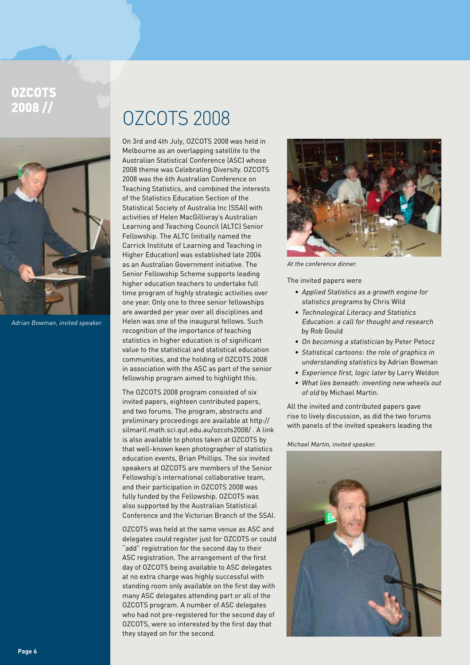# **OZCOTS** 2008 //



Adrian Bowman, invited speaker.

# OZCOTS 2008

On 3rd and 4th July, OZCOTS 2008 was held in Melbourne as an overlapping satellite to the Australian Statistical Conference (ASC) whose 2008 theme was Celebrating Diversity. OZCOTS 2008 was the 6th Australian Conference on Teaching Statistics, and combined the interests of the Statistics Education Section of the Statistical Society of Australia Inc (SSAI) with activities of Helen MacGillivray's Australian Learning and Teaching Council (ALTC) Senior Fellowship. The ALTC (initially named the Carrick Institute of Learning and Teaching in Higher Education) was established late 2004 as an Australian Government initiative. The Senior Fellowship Scheme supports leading higher education teachers to undertake full time program of highly strategic activities over one year. Only one to three senior fellowships are awarded per year over all disciplines and Helen was one of the inaugural fellows. Such recognition of the importance of teaching statistics in higher education is of significant value to the statistical and statistical education communities, and the holding of OZCOTS 2008 in association with the ASC as part of the senior fellowship program aimed to highlight this.

The OZCOTS 2008 program consisted of six invited papers, eighteen contributed papers, and two forums. The program, abstracts and preliminary proceedings are available at http:// silmaril.math.sci.qut.edu.au/ozcots2008/ . A link is also available to photos taken at OZCOTS by that well-known keen photographer of statistics education events, Brian Phillips. The six invited speakers at OZCOTS are members of the Senior Fellowship's international collaborative team, and their participation in OZCOTS 2008 was fully funded by the Fellowship. OZCOTS was also supported by the Australian Statistical Conference and the Victorian Branch of the SSAI.

OZCOTS was held at the same venue as ASC and delegates could register just for OZCOTS or could "add" registration for the second day to their ASC registration. The arrangement of the first day of OZCOTS being available to ASC delegates at no extra charge was highly successful with standing room only available on the first day with many ASC delegates attending part or all of the OZCOTS program. A number of ASC delegates who had not pre-registered for the second day of OZCOTS, were so interested by the first day that they stayed on for the second.



At the conference dinner.

The invited papers were

- Applied Statistics as a growth engine for statistics programs by Chris Wild
- Technological Literacy and Statistics Education: a call for thought and research by Rob Gould
- On becoming a statistician by Peter Petocz
- Statistical cartoons: the role of graphics in understanding statistics by Adrian Bowman
- Experience first, logic later by Larry Weldon
- What lies beneath: inventing new wheels out of old by Michael Martin.

All the invited and contributed papers gave rise to lively discussion, as did the two forums with panels of the invited speakers leading the

Michael Martin, invited speaker.

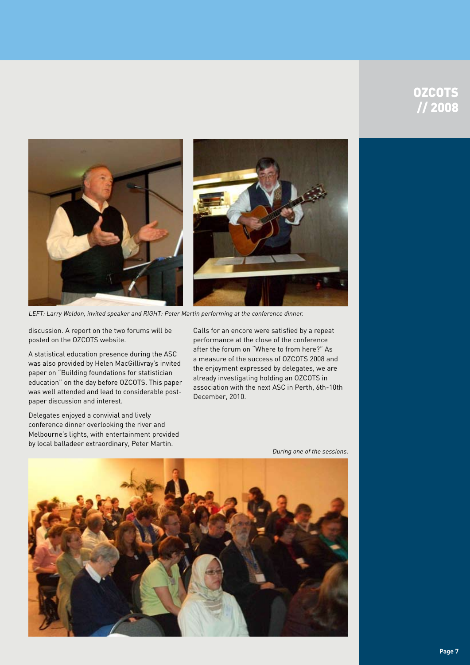# OZCOTS // 2008



LEFT: Larry Weldon, invited speaker and RIGHT: Peter Martin performing at the conference dinner.

discussion. A report on the two forums will be posted on the OZCOTS website.

A statistical education presence during the ASC was also provided by Helen MacGillivray's invited paper on "Building foundations for statistician education" on the day before OZCOTS. This paper was well attended and lead to considerable postpaper discussion and interest.

Delegates enjoyed a convivial and lively conference dinner overlooking the river and Melbourne's lights, with entertainment provided by local balladeer extraordinary, Peter Martin.

Calls for an encore were satisfied by a repeat performance at the close of the conference after the forum on "Where to from here?" As a measure of the success of OZCOTS 2008 and the enjoyment expressed by delegates, we are already investigating holding an OZCOTS in association with the next ASC in Perth, 6th-10th December, 2010.

During one of the sessions.

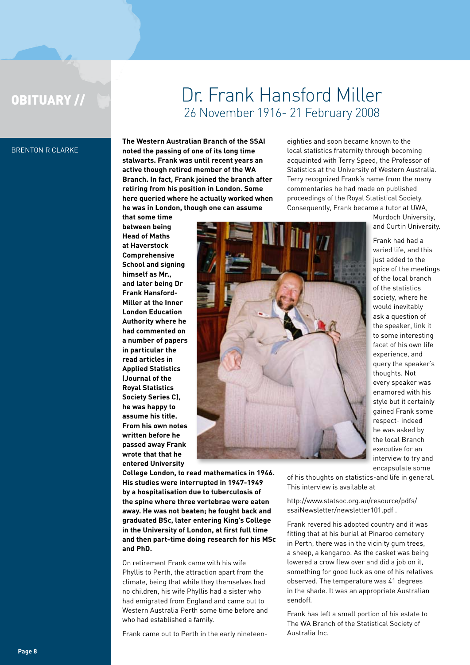### OBITUARY //

# Dr. Frank Hansford Miller 26 November 1916- 21 February 2008

#### Brenton R Clarke

**The Western Australian Branch of the SSAI noted the passing of one of its long time stalwarts. Frank was until recent years an active though retired member of the WA Branch. In fact, Frank joined the branch after retiring from his position in London. Some here queried where he actually worked when he was in London, though one can assume** 

eighties and soon became known to the local statistics fraternity through becoming acquainted with Terry Speed, the Professor of Statistics at the University of Western Australia. Terry recognized Frank's name from the many commentaries he had made on published proceedings of the Royal Statistical Society.

**that some time between being Head of Maths at Haverstock Comprehensive School and signing himself as Mr., and later being Dr Frank Hansford-Miller at the Inner London Education Authority where he had commented on a number of papers in particular the read articles in Applied Statistics (Journal of the Royal Statistics Society Series C), he was happy to assume his title. From his own notes written before he passed away Frank wrote that that he entered University** 



Consequently, Frank became a tutor at UWA,

Murdoch University, and Curtin University.

Frank had had a varied life, and this just added to the spice of the meetings of the local branch of the statistics society, where he would inevitably ask a question of the speaker, link it to some interesting facet of his own life experience, and query the speaker's thoughts. Not every speaker was enamored with his style but it certainly gained Frank some respect- indeed he was asked by the local Branch executive for an interview to try and encapsulate some

**College London, to read mathematics in 1946. His studies were interrupted in 1947-1949 by a hospitalisation due to tuberculosis of the spine where three vertebrae were eaten away. He was not beaten; he fought back and graduated BSc, later entering King's College in the University of London, at first full time and then part-time doing research for his MSc and PhD.**

On retirement Frank came with his wife Phyllis to Perth, the attraction apart from the climate, being that while they themselves had no children, his wife Phyllis had a sister who had emigrated from England and came out to Western Australia Perth some time before and who had established a family.

Frank came out to Perth in the early nineteen-

of his thoughts on statistics-and life in general. This interview is available at

http://www.statsoc.org.au/resource/pdfs/ ssaiNewsletter/newsletter101.pdf .

Frank revered his adopted country and it was fitting that at his burial at Pinaroo cemetery in Perth, there was in the vicinity gum trees, a sheep, a kangaroo. As the casket was being lowered a crow flew over and did a job on it, something for good luck as one of his relatives observed. The temperature was 41 degrees in the shade. It was an appropriate Australian sendoff.

Frank has left a small portion of his estate to The WA Branch of the Statistical Society of Australia Inc.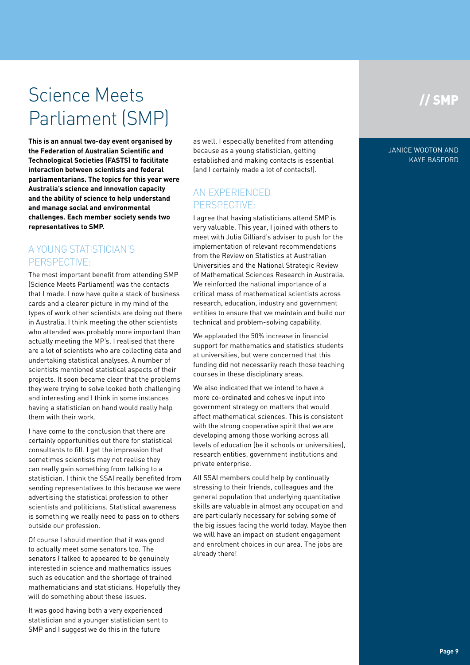# Science Meets Parliament (SMP)

**This is an annual two-day event organised by the Federation of Australian Scientific and Technological Societies (FASTS) to facilitate interaction between scientists and federal parliamentarians. The topics for this year were Australia's science and innovation capacity and the ability of science to help understand and manage social and environmental challenges. Each member society sends two representatives to SMP.** 

### A young statistician's perspective:

The most important benefit from attending SMP (Science Meets Parliament) was the contacts that I made. I now have quite a stack of business cards and a clearer picture in my mind of the types of work other scientists are doing out there in Australia. I think meeting the other scientists who attended was probably more important than actually meeting the MP's. I realised that there are a lot of scientists who are collecting data and undertaking statistical analyses. A number of scientists mentioned statistical aspects of their projects. It soon became clear that the problems they were trying to solve looked both challenging and interesting and I think in some instances having a statistician on hand would really help them with their work.

I have come to the conclusion that there are certainly opportunities out there for statistical consultants to fill. I get the impression that sometimes scientists may not realise they can really gain something from talking to a statistician. I think the SSAI really benefited from sending representatives to this because we were advertising the statistical profession to other scientists and politicians. Statistical awareness is something we really need to pass on to others outside our profession.

Of course I should mention that it was good to actually meet some senators too. The senators I talked to appeared to be genuinely interested in science and mathematics issues such as education and the shortage of trained mathematicians and statisticians. Hopefully they will do something about these issues.

It was good having both a very experienced statistician and a younger statistician sent to SMP and I suggest we do this in the future

as well. I especially benefited from attending because as a young statistician, getting established and making contacts is essential (and I certainly made a lot of contacts!).

### An experienced perspective:

I agree that having statisticians attend SMP is very valuable. This year, I joined with others to meet with Julia Gilliard's adviser to push for the implementation of relevant recommendations from the Review on Statistics at Australian Universities and the National Strategic Review of Mathematical Sciences Research in Australia. We reinforced the national importance of a critical mass of mathematical scientists across research, education, industry and government entities to ensure that we maintain and build our technical and problem-solving capability.

We applauded the 50% increase in financial support for mathematics and statistics students at universities, but were concerned that this funding did not necessarily reach those teaching courses in these disciplinary areas.

We also indicated that we intend to have a more co-ordinated and cohesive input into government strategy on matters that would affect mathematical sciences. This is consistent with the strong cooperative spirit that we are developing among those working across all levels of education (be it schools or universities), research entities, government institutions and private enterprise.

All SSAI members could help by continually stressing to their friends, colleagues and the general population that underlying quantitative skills are valuable in almost any occupation and are particularly necessary for solving some of the big issues facing the world today. Maybe then we will have an impact on student engagement and enrolment choices in our area. The jobs are already there!

# // SMP

### Janice Wooton and Kaye Basford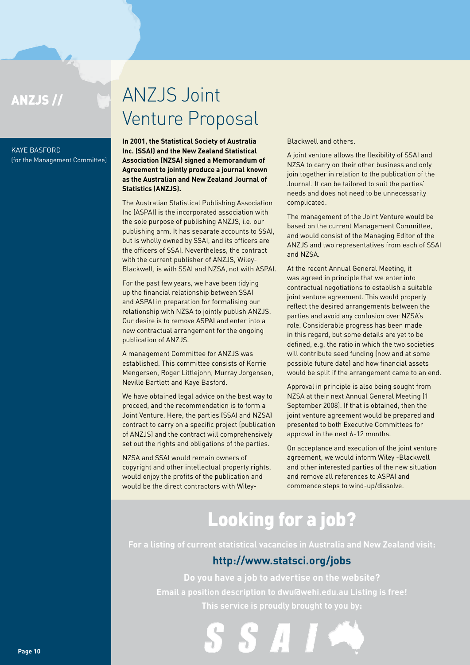Kaye Basford (for the Management Committee)

# ANZJS // ANZJS Joint Venture Proposal

**In 2001, the Statistical Society of Australia Inc. (SSAI) and the New Zealand Statistical Association (NZSA) signed a Memorandum of Agreement to jointly produce a journal known as the Australian and New Zealand Journal of Statistics (ANZJS).** 

The Australian Statistical Publishing Association Inc (ASPAI) is the incorporated association with the sole purpose of publishing ANZJS, i.e. our publishing arm. It has separate accounts to SSAI, but is wholly owned by SSAI, and its officers are the officers of SSAI. Nevertheless, the contract with the current publisher of ANZJS, Wiley-Blackwell, is with SSAI and NZSA, not with ASPAI.

For the past few years, we have been tidying up the financial relationship between SSAI and ASPAI in preparation for formalising our relationship with NZSA to jointly publish ANZJS. Our desire is to remove ASPAI and enter into a new contractual arrangement for the ongoing publication of ANZJS.

A management Committee for ANZJS was established. This committee consists of Kerrie Mengersen, Roger Littlejohn, Murray Jorgensen, Neville Bartlett and Kaye Basford.

We have obtained legal advice on the best way to proceed, and the recommendation is to form a Joint Venture. Here, the parties (SSAI and NZSA) contract to carry on a specific project (publication of ANZJS) and the contract will comprehensively set out the rights and obligations of the parties.

NZSA and SSAI would remain owners of copyright and other intellectual property rights, would enjoy the profits of the publication and would be the direct contractors with WileyBlackwell and others.

A joint venture allows the flexibility of SSAI and NZSA to carry on their other business and only join together in relation to the publication of the Journal. It can be tailored to suit the parties' needs and does not need to be unnecessarily complicated.

The management of the Joint Venture would be based on the current Management Committee, and would consist of the Managing Editor of the ANZJS and two representatives from each of SSAI and NZSA.

At the recent Annual General Meeting, it was agreed in principle that we enter into contractual negotiations to establish a suitable joint venture agreement. This would properly reflect the desired arrangements between the parties and avoid any confusion over NZSA's role. Considerable progress has been made in this regard, but some details are yet to be defined, e.g. the ratio in which the two societies will contribute seed funding (now and at some possible future date) and how financial assets would be split if the arrangement came to an end.

Approval in principle is also being sought from NZSA at their next Annual General Meeting (1 September 2008). If that is obtained, then the joint venture agreement would be prepared and presented to both Executive Committees for approval in the next 6-12 months.

On acceptance and execution of the joint venture agreement, we would inform Wiley -Blackwell and other interested parties of the new situation and remove all references to ASPAI and commence steps to wind-up/dissolve.

# Looking for a job?

**For a listing of current statistical vacancies in Australia and New Zealand visit:**

### **http://www.statsci.org/jobs**

**Do you have a job to advertise on the website? Email a position description to dwu@wehi.edu.au Listing is free! This service is proudly brought to you by:**

S S A L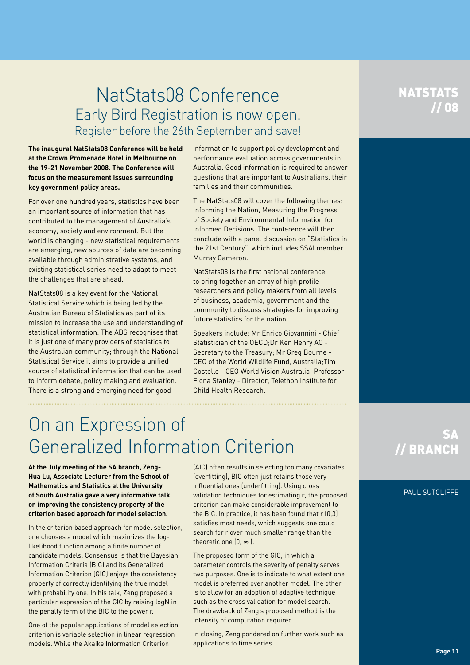# NatStats08 Conference Early Bird Registration is now open. Register before the 26th September and save!

### **The inaugural NatStats08 Conference will be held at the Crown Promenade Hotel in Melbourne on the 19-21 November 2008. The Conference will focus on the measurement issues surrounding key government policy areas.**

For over one hundred years, statistics have been an important source of information that has contributed to the management of Australia's economy, society and environment. But the world is changing - new statistical requirements are emerging, new sources of data are becoming available through administrative systems, and existing statistical series need to adapt to meet the challenges that are ahead.

NatStats08 is a key event for the National Statistical Service which is being led by the Australian Bureau of Statistics as part of its mission to increase the use and understanding of statistical information. The ABS recognises that it is just one of many providers of statistics to the Australian community; through the National Statistical Service it aims to provide a unified source of statistical information that can be used to inform debate, policy making and evaluation. There is a strong and emerging need for good

information to support policy development and performance evaluation across governments in Australia. Good information is required to answer questions that are important to Australians, their families and their communities.

The NatStats08 will cover the following themes: Informing the Nation, Measuring the Progress of Society and Environmental Information for Informed Decisions. The conference will then conclude with a panel discussion on "Statistics in the 21st Century", which includes SSAI member Murray Cameron.

NatStats08 is the first national conference to bring together an array of high profile researchers and policy makers from all levels of business, academia, government and the community to discuss strategies for improving future statistics for the nation.

Speakers include: Mr Enrico Giovannini - Chief Statistician of the OECD;Dr Ken Henry AC - Secretary to the Treasury; Mr Greg Bourne - CEO of the World Wildlife Fund, Australia;Tim Costello - CEO World Vision Australia; Professor Fiona Stanley - Director, Telethon Institute for Child Health Research.

# On an Expression of Generalized Information Criterion

**At the July meeting of the SA branch, Zeng-Hua Lu, Associate Lecturer from the School of Mathematics and Statistics at the University of South Australia gave a very informative talk on improving the consistency property of the criterion based approach for model selection.** 

In the criterion based approach for model selection, one chooses a model which maximizes the loglikelihood function among a finite number of candidate models. Consensus is that the Bayesian Information Criteria (BIC) and its Generalized Information Criterion (GIC) enjoys the consistency property of correctly identifying the true model with probability one. In his talk, Zeng proposed a particular expression of the GIC by raising logN in the penalty term of the BIC to the power r.

One of the popular applications of model selection criterion is variable selection in linear regression models. While the Akaike Information Criterion

(AIC) often results in selecting too many covariates (overfitting), BIC often just retains those very influential ones (underfitting). Using cross validation techniques for estimating r, the proposed criterion can make considerable improvement to the BIC. In practice, it has been found that r (0,3] satisfies most needs, which suggests one could search for r over much smaller range than the theoretic one (0, ∞ ).

The proposed form of the GIC, in which a parameter controls the severity of penalty serves two purposes. One is to indicate to what extent one model is preferred over another model. The other is to allow for an adoption of adaptive technique such as the cross validation for model search. The drawback of Zeng's proposed method is the intensity of computation required.

In closing, Zeng pondered on further work such as applications to time series.

# **NATSTATS** // 08

# // BRANC

### Paul Sutcliffe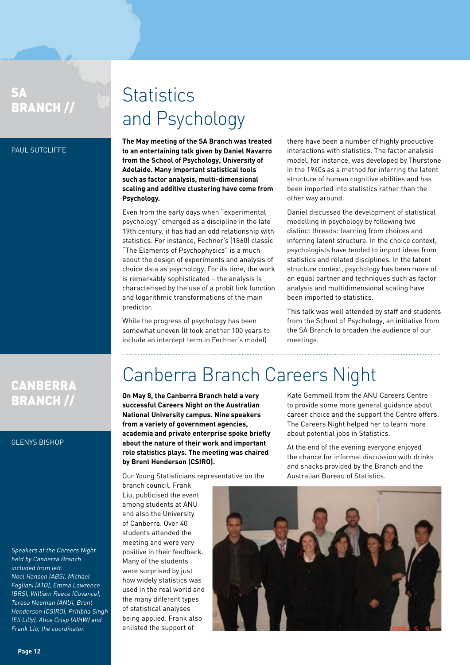## SA Branch //

#### PAUL SUTCLIFFE

# **Statistics** and Psychology

**The May meeting of the SA Branch was treated to an entertaining talk given by Daniel Navarro from the School of Psychology, University of Adelaide. Many important statistical tools such as factor analysis, multi-dimensional scaling and additive clustering have come from Psychology.**

Even from the early days when "experimental psychology" emerged as a discipline in the late 19th century, it has had an odd relationship with statistics. For instance, Fechner's (1860) classic "The Elements of Psychophysics" is a much about the design of experiments and analysis of choice data as psychology. For its time, the work is remarkably sophisticated – the analysis is characterised by the use of a probit link function and logarithmic transformations of the main predictor.

While the progress of psychology has been somewhat uneven (it took another 100 years to include an intercept term in Fechner's model)

there have been a number of highly productive interactions with statistics. The factor analysis model, for instance, was developed by Thurstone in the 1940s as a method for inferring the latent structure of human cognitive abilities and has been imported into statistics rather than the other way around.

Daniel discussed the development of statistical modelling in psychology by following two distinct threads: learning from choices and inferring latent structure. In the choice context, psychologists have tended to import ideas from statistics and related disciplines. In the latent structure context, psychology has been more of an equal partner and techniques such as factor analysis and multidimensional scaling have been imported to statistics.

This talk was well attended by staff and students from the School of Psychology, an initiative from the SA Branch to broaden the audience of our meetings.

### **CANBERRA** Branch //

#### Glenys Bishop

Speakers at the Careers Night held by Canberra Branch included from left: Noel Hansen (ABS), Michael Fogliani (ATO), Emma Lawrence (BRS), William Reece (Covance), Teresa Neeman (ANU), Brent Henderson (CSIRO), Pritibha Singh (Eli Lilly), Alice Crisp (AIHW) and Frank Liu, the coordinator.

# Canberra Branch Careers Night

**On May 8, the Canberra Branch held a very successful Careers Night on the Australian National University campus. Nine speakers from a variety of government agencies, academia and private enterprise spoke briefly about the nature of their work and important role statistics plays. The meeting was chaired by Brent Henderson (CSIRO).**

Our Young Statisticians representative on the

branch council, Frank Liu, publicised the event among students at ANU and also the University of Canberra. Over 40 students attended the meeting and were very positive in their feedback. Many of the students were surprised by just how widely statistics was used in the real world and the many different types of statistical analyses being applied. Frank also enlisted the support of

Kate Gemmell from the ANU Careers Centre to provide some more general guidance about career choice and the support the Centre offers. The Careers Night helped her to learn more about potential jobs in Statistics.

At the end of the evening everyone enjoyed the chance for informal discussion with drinks and snacks provided by the Branch and the Australian Bureau of Statistics.

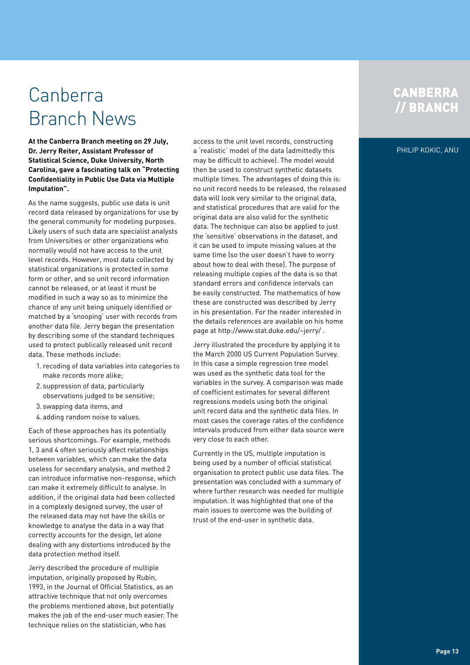# Canberra Branch News

**At the Canberra Branch meeting on 29 July, Dr. Jerry Reiter, Assistant Professor of Statistical Science, Duke University, North Carolina, gave a fascinating talk on "Protecting Confidentiality in Public Use Data via Multiple Imputation".**

As the name suggests, public use data is unit record data released by organizations for use by the general community for modeling purposes. Likely users of such data are specialist analysts from Universities or other organizations who normally would not have access to the unit level records. However, most data collected by statistical organizations is protected in some form or other, and so unit record information cannot be released, or at least it must be modified in such a way so as to minimize the chance of any unit being uniquely identified or matched by a 'snooping' user with records from another data file. Jerry began the presentation by describing some of the standard techniques used to protect publically released unit record data. These methods include:

- 1. recoding of data variables into categories to make records more alike;
- 2. suppression of data, particularly observations judged to be sensitive;
- 3. swapping data items, and
- 4. adding random noise to values.

Each of these approaches has its potentially serious shortcomings. For example, methods 1, 3 and 4 often seriously affect relationships between variables, which can make the data useless for secondary analysis, and method 2 can introduce informative non-response, which can make it extremely difficult to analyse. In addition, if the original data had been collected in a complexly designed survey, the user of the released data may not have the skills or knowledge to analyse the data in a way that correctly accounts for the design, let alone dealing with any distortions introduced by the data protection method itself.

Jerry described the procedure of multiple imputation, originally proposed by Rubin, 1993, in the Journal of Official Statistics, as an attractive technique that not only overcomes the problems mentioned above, but potentially makes the job of the end-user much easier. The technique relies on the statistician, who has

access to the unit level records, constructing a 'realistic' model of the data (admittedly this may be difficult to achieve). The model would then be used to construct synthetic datasets multiple times. The advantages of doing this is: no unit record needs to be released, the released data will look very similar to the original data, and statistical procedures that are valid for the original data are also valid for the synthetic data. The technique can also be applied to just the 'sensitive' observations in the dataset, and it can be used to impute missing values at the same time (so the user doesn't have to worry about how to deal with these). The purpose of releasing multiple copies of the data is so that standard errors and confidence intervals can be easily constructed. The mathematics of how these are constructed was described by Jerry in his presentation. For the reader interested in the details references are available on his home page at http://www.stat.duke.edu/~jerry/ .

Jerry illustrated the procedure by applying it to the March 2000 US Current Population Survey. In this case a simple regression tree model was used as the synthetic data tool for the variables in the survey. A comparison was made of coefficient estimates for several different regressions models using both the original unit record data and the synthetic data files. In most cases the coverage rates of the confidence intervals produced from either data source were very close to each other.

Currently in the US, multiple imputation is being used by a number of official statistical organisation to protect public use data files. The presentation was concluded with a summary of where further research was needed for multiple imputation. It was highlighted that one of the main issues to overcome was the building of trust of the end-user in synthetic data.

## CANBERRA // Branch

### PHILIP KOKIC, ANU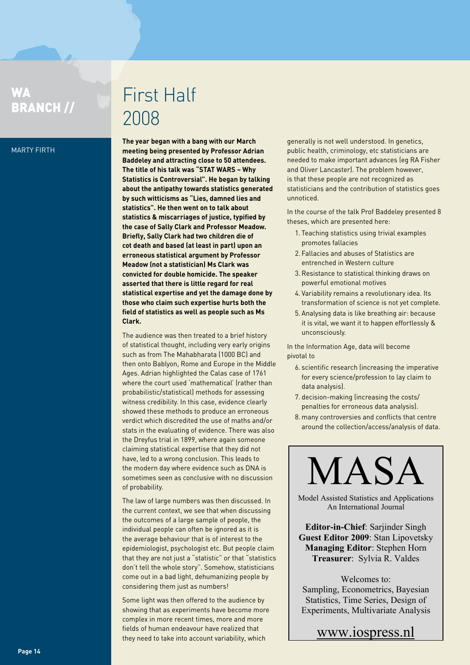# WA BRANCH //

#### Marty Firth

First Half 2008

**The year began with a bang with our March meeting being presented by Professor Adrian Baddeley and attracting close to 50 attendees. The title of his talk was "STAT WARS – Why Statistics is Controversial". He began by talking about the antipathy towards statistics generated by such witticisms as "Lies, damned lies and statistics". He then went on to talk about statistics & miscarriages of justice, typified by the case of Sally Clark and Professor Meadow. Briefly, Sally Clark had two children die of cot death and based (at least in part) upon an erroneous statistical argument by Professor Meadow (not a statistician) Ms Clark was convicted for double homicide. The speaker asserted that there is little regard for real statistical expertise and yet the damage done by those who claim such expertise hurts both the field of statistics as well as people such as Ms Clark.**

The audience was then treated to a brief history of statistical thought, including very early origins such as from The Mahabharata (1000 BC) and then onto Bablyon, Rome and Europe in the Middle Ages. Adrian highlighted the Calas case of 1761 where the court used 'mathematical' (rather than probabilistic/statistical) methods for assessing witness credibility. In this case, evidence clearly showed these methods to produce an erroneous verdict which discredited the use of maths and/or stats in the evaluating of evidence. There was also the Dreyfus trial in 1899, where again someone claiming statistical expertise that they did not have, led to a wrong conclusion. This leads to the modern day where evidence such as DNA is sometimes seen as conclusive with no discussion of probability.

The law of large numbers was then discussed. In the current context, we see that when discussing the outcomes of a large sample of people, the individual people can often be ignored as it is the average behaviour that is of interest to the epidemiologist, psychologist etc. But people claim that they are not just a "statistic" or that "statistics don't tell the whole story". Somehow, statisticians come out in a bad light, dehumanizing people by considering them just as numbers!

Some light was then offered to the audience by showing that as experiments have become more complex in more recent times, more and more fields of human endeavour have realized that they need to take into account variability, which

generally is not well understood. In genetics, public health, criminology, etc statisticians are needed to make important advances (eg RA Fisher and Oliver Lancaster). The problem however, is that these people are not recognized as statisticians and the contribution of statistics goes unnoticed.

In the course of the talk Prof Baddeley presented 8 theses, which are presented here:

- 1. Teaching statistics using trivial examples promotes fallacies
- .<br>2. Fallacies and abuses of Statistics are entrenched in Western culture *Elephants Go to School*
- 3. Resistance to statistical thinking draws on powerful emotional motives *Sarjinder Singh*  **A**  $\frac{1}{2}$ **statistics using pictures,**
- 4. Variability remains a revolutionary idea. Its **transformation of science is not yet complete.** evolutionary ide
- 5. Analysing data is like breathing air: because 2007, 49(4), 496*.*  Marcin Kozak*, Statistics in*  **fun through 651 pages.** it is vital, we want it to happen effortlessly & *Transition,*2006, 7(6), 1407-9. unconsciously. **Good for all ages**

In the Information Age, data will become pivotal to **a** witt become

- 6. scientific research (increasing the imperative **PLEASE HAVE A LOOK**  for every science/profession to lay claim to data analysis).
- 7. decision-making (increasing the costs/ penalties for erroneous data analysis).
- pendance for privilegies and analysis).<br>**8. many controversies and conflicts that centre** Inany controversies and contricts that centre<br>around the collection/access/analysis of data. rie collection/access/and

**MASA** 

Model Assisted Statistics and Applications An International Journal

**Editor-in-Chief**: Sarjinder Singh **Guest Editor 2009**: Stan Lipovetsky **Managing Editor**: Stephen Horn **Treasurer**: Sylvia R. Valdes

Welcomes to: Sampling, Econometrics, Bayesian Statistics, Time Series, Design of Experiments, Multivariate Analysis

www.iospress.nl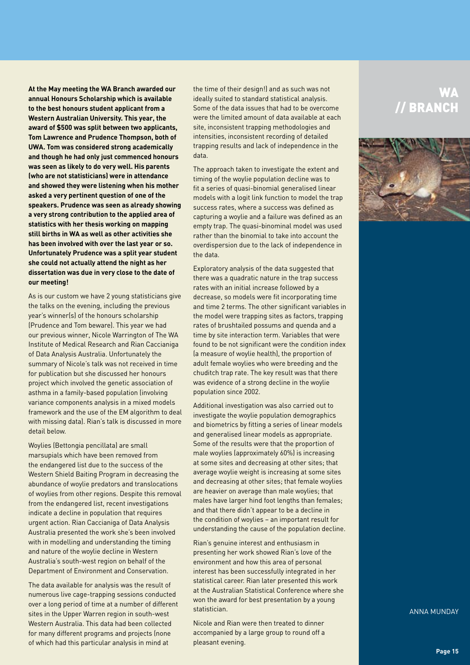**At the May meeting the WA Branch awarded our annual Honours Scholarship which is available to the best honours student applicant from a Western Australian University. This year, the award of \$500 was split between two applicants, Tom Lawrence and Prudence Thompson, both of UWA. Tom was considered strong academically and though he had only just commenced honours was seen as likely to do very well. His parents (who are not statisticians) were in attendance and showed they were listening when his mother asked a very pertinent question of one of the speakers. Prudence was seen as already showing a very strong contribution to the applied area of statistics with her thesis working on mapping still births in WA as well as other activities she has been involved with over the last year or so. Unfortunately Prudence was a split year student she could not actually attend the night as her dissertation was due in very close to the date of our meeting!** 

As is our custom we have 2 young statisticians give the talks on the evening, including the previous year's winner(s) of the honours scholarship (Prudence and Tom beware). This year we had our previous winner, Nicole Warrington of The WA Institute of Medical Research and Rian Caccianiga of Data Analysis Australia. Unfortunately the summary of Nicole's talk was not received in time for publication but she discussed her honours project which involved the genetic association of asthma in a family-based population (involving variance components analysis in a mixed models framework and the use of the EM algorithm to deal with missing data). Rian's talk is discussed in more detail below.

Woylies (Bettongia pencillata) are small marsupials which have been removed from the endangered list due to the success of the Western Shield Baiting Program in decreasing the abundance of woylie predators and translocations of woylies from other regions. Despite this removal from the endangered list, recent investigations indicate a decline in population that requires urgent action. Rian Caccianiga of Data Analysis Australia presented the work she's been involved with in modelling and understanding the timing and nature of the woylie decline in Western Australia's south-west region on behalf of the Department of Environment and Conservation.

The data available for analysis was the result of numerous live cage-trapping sessions conducted over a long period of time at a number of different sites in the Upper Warren region in south-west Western Australia. This data had been collected for many different programs and projects (none of which had this particular analysis in mind at

the time of their design!) and as such was not ideally suited to standard statistical analysis. Some of the data issues that had to be overcome were the limited amount of data available at each site, inconsistent trapping methodologies and intensities, inconsistent recording of detailed trapping results and lack of independence in the data.

The approach taken to investigate the extent and timing of the woylie population decline was to fit a series of quasi-binomial generalised linear models with a logit link function to model the trap success rates, where a success was defined as capturing a woylie and a failure was defined as an empty trap. The quasi-binominal model was used rather than the binomial to take into account the overdispersion due to the lack of independence in the data.

Exploratory analysis of the data suggested that there was a quadratic nature in the trap success rates with an initial increase followed by a decrease, so models were fit incorporating time and time 2 terms. The other significant variables in the model were trapping sites as factors, trapping rates of brushtailed possums and quenda and a time by site interaction term. Variables that were found to be not significant were the condition index (a measure of woylie health), the proportion of adult female woylies who were breeding and the chuditch trap rate. The key result was that there was evidence of a strong decline in the woylie population since 2002.

Additional investigation was also carried out to investigate the woylie population demographics and biometrics by fitting a series of linear models and generalised linear models as appropriate. Some of the results were that the proportion of male woylies (approximately 60%) is increasing at some sites and decreasing at other sites; that average woylie weight is increasing at some sites and decreasing at other sites; that female woylies are heavier on average than male woylies; that males have larger hind foot lengths than females; and that there didn't appear to be a decline in the condition of woylies – an important result for understanding the cause of the population decline.

Rian's genuine interest and enthusiasm in presenting her work showed Rian's love of the environment and how this area of personal interest has been successfully integrated in her statistical career. Rian later presented this work at the Australian Statistical Conference where she won the award for best presentation by a young statistician.

Nicole and Rian were then treated to dinner accompanied by a large group to round off a pleasant evening.

### **WA BRANC**



the data.

incorporating time and time2

strong decline in the woylie population since 2002.

The data available for analysis was the result of numerous live cage-trapping sessions conducted over a long period of time at a number of different sites in the Upper Warren region in south-west Western Australia. This data had been collected for many different programs and projects (none of which had this particular analysis in mind at the time of their design!) and as such was not ideally suited to standard statistical analysis. Some of the data issues that had to be overcome were the limited amount of data available at each site, inconsistent trapping methodologies and intensities, inconsistent recording of

The approach taken to investigate the extent and timing of the woylie population decline was to fit a series of  $\alpha$  series of  $\alpha$  logit linear models with a logit linear models with a logit link function to the series of  $\alpha$ model the trap success rates, where a success was defined as capturing a woylie and a failure was defined as an empty trap. The quasi-binominal model was used rather than the binomial to take into account the overdispersion due to the lack of independence in

Exploratory analysis of the data suggested that there was a quadratic nature in the trap success rates with an initial increase followed by a decrease, so models were fit

trapping sites as factors, trapping rates of brushtailed possums and quenda and a time by site interaction term. Variables that were found to be not significant were the condition index (a measure of woylie health), the proportion of adult female woylies who were breeding and the chuditch trap rate. The key result was that there was evidence of a

Additional investigation was also carried out to investigate the woylie population demographics and biometrics by fitting a series of linear models and generalised linear models as appropriate. Some of the results were that the proportion of male woylies (approximately 60%) is increasing at some sites and decreasing at other sites; that average woylie weight is increasing at some sites and decreasing at other sites; that female woylies are heavier on average than male woylies; that males have larger hind foot lengths than females; and that there didn't appear to be a decline in the condition of wo winds – an important result for understanding the population decline. The population decline of the population

detailed trapping results and lack of independence in the data.

Anna Munday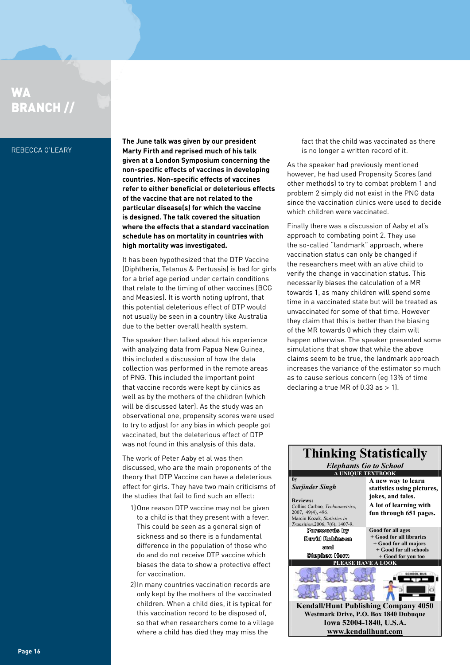# WA BRANCH //

#### Rebecca O'Leary

**The June talk was given by our president Marty Firth and reprised much of his talk given at a London Symposium concerning the non-specific effects of vaccines in developing countries. Non-specific effects of vaccines refer to either beneficial or deleterious effects of the vaccine that are not related to the particular disease(s) for which the vaccine is designed. The talk covered the situation where the effects that a standard vaccination schedule has on mortality in countries with high mortality was investigated.** 

It has been hypothesized that the DTP Vaccine (Diphtheria, Tetanus & Pertussis) is bad for girls for a brief age period under certain conditions that relate to the timing of other vaccines (BCG and Measles). It is worth noting upfront, that this potential deleterious effect of DTP would not usually be seen in a country like Australia due to the better overall health system.

The speaker then talked about his experience with analyzing data from Papua New Guinea, this included a discussion of how the data collection was performed in the remote areas of PNG. This included the important point that vaccine records were kept by clinics as well as by the mothers of the children (which will be discussed later). As the study was an observational one, propensity scores were used to try to adjust for any bias in which people got vaccinated, but the deleterious effect of DTP was not found in this analysis of this data.

The work of Peter Aaby et al was then discussed, who are the main proponents of the theory that DTP Vaccine can have a deleterious effect for girls. They have two main criticisms of the studies that fail to find such an effect:

- 1)One reason DTP vaccine may not be given to a child is that they present with a fever. This could be seen as a general sign of sickness and so there is a fundamental difference in the population of those who do and do not receive DTP vaccine which biases the data to show a protective effect for vaccination.
- 2)In many countries vaccination records are only kept by the mothers of the vaccinated children. When a child dies, it is typical for this vaccination record to be disposed of, so that when researchers come to a village where a child has died they may miss the

fact that the child was vaccinated as there is no longer a written record of it.

As the speaker had previously mentioned however, he had used Propensity Scores (and other methods) to try to combat problem 1 and problem 2 simply did not exist in the PNG data since the vaccination clinics were used to decide which children were vaccinated.

Finally there was a discussion of Aaby et al's approach to combating point 2. They use the so-called "landmark" approach, where vaccination status can only be changed if the researchers meet with an alive child to verify the change in vaccination status. This necessarily biases the calculation of a MR towards 1, as many children will spend some time in a vaccinated state but will be treated as unvaccinated for some of that time. However they claim that this is better than the biasing of the MR towards 0 which they claim will happen otherwise. The speaker presented some simulations that show that while the above claims seem to be true, the landmark approach increases the variance of the estimator so much as to cause serious concern (eg 13% of time declaring a true MR of 0.33 as  $> 1$ .

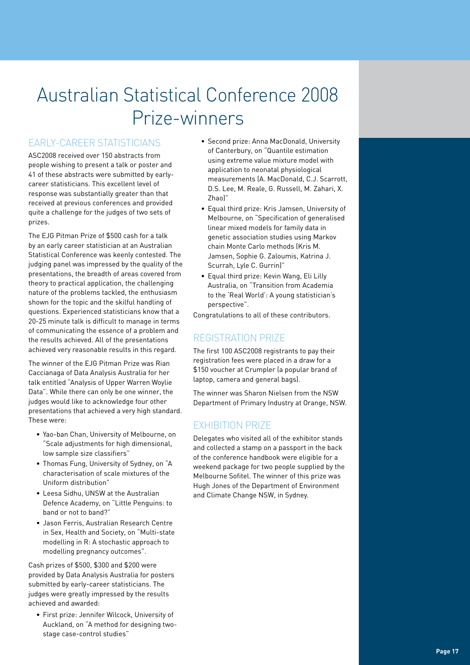# Australian Statistical Conference 2008 Prize-winners

### EARLY-CAREER STATISTICIAN

ASC2008 received over 150 abstracts from people wishing to present a talk or poster and 41 of these abstracts were submitted by earlycareer statisticians. This excellent level of response was substantially greater than that received at previous conferences and provided quite a challenge for the judges of two sets of prizes.

The EJG Pitman Prize of \$500 cash for a talk by an early career statistician at an Australian Statistical Conference was keenly contested. The judging panel was impressed by the quality of the presentations, the breadth of areas covered from theory to practical application, the challenging nature of the problems tackled, the enthusiasm shown for the topic and the skilful handling of questions. Experienced statisticians know that a 20-25 minute talk is difficult to manage in terms of communicating the essence of a problem and the results achieved. All of the presentations achieved very reasonable results in this regard.

The winner of the EJG Pitman Prize was Rian Caccianaga of Data Analysis Australia for her talk entitled "Analysis of Upper Warren Woylie Data". While there can only be one winner, the judges would like to acknowledge four other presentations that achieved a very high standard. These were:

- Yao-ban Chan, University of Melbourne, on "Scale adjustments for high dimensional, low sample size classifiers"
- Thomas Fung, University of Sydney, on "A characterisation of scale mixtures of the Uniform distribution"
- Leesa Sidhu, UNSW at the Australian Defence Academy, on "Little Penguins: to band or not to band?"
- Jason Ferris, Australian Research Centre in Sex, Health and Society, on "Multi-state modelling in R: A stochastic approach to modelling pregnancy outcomes".

Cash prizes of \$500, \$300 and \$200 were provided by Data Analysis Australia for posters submitted by early-career statisticians. The judges were greatly impressed by the results achieved and awarded:

• First prize: Jennifer Wilcock, University of Auckland, on "A method for designing twostage case-control studies"

- Second prize: Anna MacDonald, University of Canterbury, on "Quantile estimation using extreme value mixture model with application to neonatal physiological measurements (A. MacDonald, C.J. Scarrott, D.S. Lee, M. Reale, G. Russell, M. Zahari, X. Zhao)"
- Equal third prize: Kris Jamsen, University of Melbourne, on "Specification of generalised linear mixed models for family data in genetic association studies using Markov chain Monte Carlo methods (Kris M. Jamsen, Sophie G. Zaloumis, Katrina J. Scurrah, Lyle C. Gurrin)"
- Equal third prize: Kevin Wang, Eli Lilly Australia, on "Transition from Academia to the 'Real World': A young statistician's perspective".

Congratulations to all of these contributors.

### Registration Prize

The first 100 ASC2008 registrants to pay their registration fees were placed in a draw for a \$150 voucher at Crumpler (a popular brand of laptop, camera and general bags).

The winner was Sharon Nielsen from the NSW Department of Primary Industry at Orange, NSW.

### EXHIBITION PRIZE

Delegates who visited all of the exhibitor stands and collected a stamp on a passport in the back of the conference handbook were eligible for a weekend package for two people supplied by the Melbourne Sofitel. The winner of this prize was Hugh Jones of the Department of Environment and Climate Change NSW, in Sydney.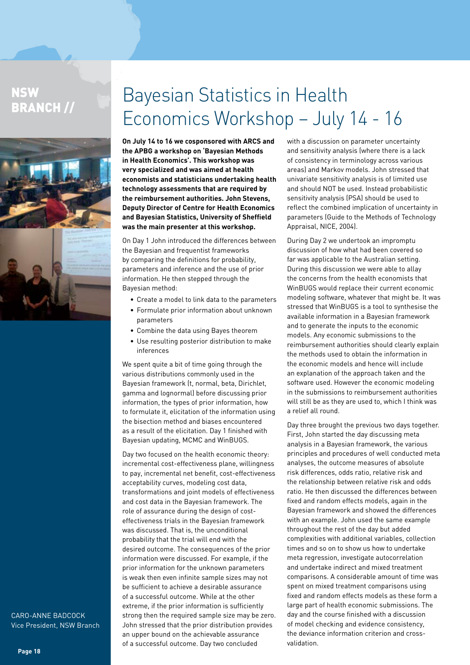# **NSW** BRANCH //



**On July 14 to 16 we cosponsored with ARCS and**  Economics Workshop – July 14 - 16

Bayesian Statistics in Health

**the APBG a workshop on 'Bayesian Methods in Health Economics'. This workshop was very specialized and was aimed at health economists and statisticians undertaking health technology assessments that are required by the reimbursement authorities. John Stevens, Deputy Director of Centre for Health Economics and Bayesian Statistics, University of Sheffield was the main presenter at this workshop.** 

On Day 1 John introduced the differences between the Bayesian and frequentist frameworks by comparing the definitions for probability, parameters and inference and the use of prior information. He then stepped through the Bayesian method:

- Create a model to link data to the parameters
- Formulate prior information about unknown parameters
- Combine the data using Bayes theorem
- Use resulting posterior distribution to make inferences

We spent quite a bit of time going through the various distributions commonly used in the Bayesian framework (t, normal, beta, Dirichlet, gamma and lognormal) before discussing prior information, the types of prior information, how to formulate it, elicitation of the information using the bisection method and biases encountered as a result of the elicitation. Day 1 finished with Bayesian updating, MCMC and WinBUGS.

Day two focused on the health economic theory: incremental cost-effectiveness plane, willingness to pay, incremental net benefit, cost-effectiveness acceptability curves, modeling cost data, transformations and joint models of effectiveness and cost data in the Bayesian framework. The role of assurance during the design of costeffectiveness trials in the Bayesian framework was discussed. That is, the unconditional probability that the trial will end with the desired outcome. The consequences of the prior information were discussed. For example, if the prior information for the unknown parameters is weak then even infinite sample sizes may not be sufficient to achieve a desirable assurance of a successful outcome. While at the other extreme, if the prior information is sufficiently strong then the required sample size may be zero. John stressed that the prior distribution provides an upper bound on the achievable assurance of a successful outcome. Day two concluded

with a discussion on parameter uncertainty and sensitivity analysis (where there is a lack of consistency in terminology across various areas) and Markov models. John stressed that univariate sensitivity analysis is of limited use and should NOT be used. Instead probabilistic sensitivity analysis (PSA) should be used to reflect the combined implication of uncertainty in parameters (Guide to the Methods of Technology Appraisal, NICE, 2004).

During Day 2 we undertook an impromptu discussion of how what had been covered so far was applicable to the Australian setting. During this discussion we were able to allay the concerns from the health economists that WinBUGS would replace their current economic modeling software, whatever that might be. It was stressed that WinBUGS is a tool to synthesise the available information in a Bayesian framework and to generate the inputs to the economic models. Any economic submissions to the reimbursement authorities should clearly explain the methods used to obtain the information in the economic models and hence will include an explanation of the approach taken and the software used. However the economic modeling in the submissions to reimbursement authorities will still be as they are used to, which I think was a relief all round.

Day three brought the previous two days together. First, John started the day discussing meta analysis in a Bayesian framework, the various principles and procedures of well conducted meta analyses, the outcome measures of absolute risk differences, odds ratio, relative risk and the relationship between relative risk and odds ratio. He then discussed the differences between fixed and random effects models, again in the Bayesian framework and showed the differences with an example. John used the same example throughout the rest of the day but added complexities with additional variables, collection times and so on to show us how to undertake meta regression, investigate autocorrelation and undertake indirect and mixed treatment comparisons. A considerable amount of time was spent on mixed treatment comparisons using fixed and random effects models as these form a large part of health economic submissions. The day and the course finished with a discussion of model checking and evidence consistency, the deviance information criterion and crossvalidation.

Caro-Anne Badcock Vice President, NSW Branch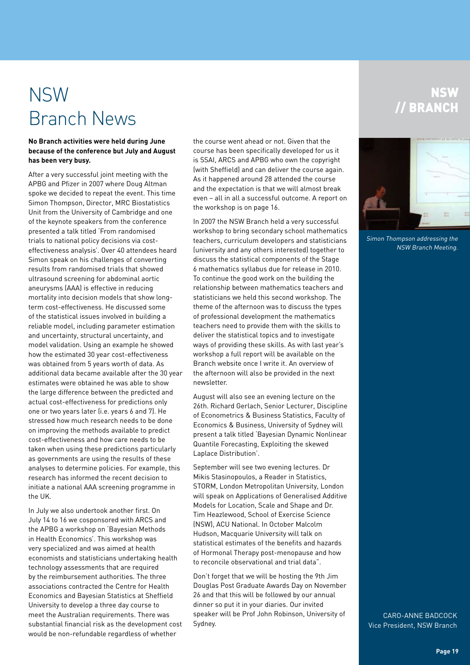# NSW Branch News

#### **No Branch activities were held during June because of the conference but July and August has been very busy.**

After a very successful joint meeting with the APBG and Pfizer in 2007 where Doug Altman spoke we decided to repeat the event. This time Simon Thompson, Director, MRC Biostatistics Unit from the University of Cambridge and one of the keynote speakers from the conference presented a talk titled 'From randomised trials to national policy decisions via costeffectiveness analysis'. Over 40 attendees heard Simon speak on his challenges of converting results from randomised trials that showed ultrasound screening for abdominal aortic aneurysms (AAA) is effective in reducing mortality into decision models that show longterm cost-effectiveness. He discussed some of the statistical issues involved in building a reliable model, including parameter estimation and uncertainty, structural uncertainty, and model validation. Using an example he showed how the estimated 30 year cost-effectiveness was obtained from 5 years worth of data. As additional data became available after the 30 year estimates were obtained he was able to show the large difference between the predicted and actual cost-effectiveness for predictions only one or two years later (i.e. years 6 and 7). He stressed how much research needs to be done on improving the methods available to predict cost-effectiveness and how care needs to be taken when using these predictions particularly as governments are using the results of these analyses to determine policies. For example, this research has informed the recent decision to initiate a national AAA screening programme in the UK.

In July we also undertook another first. On July 14 to 16 we cosponsored with ARCS and the APBG a workshop on 'Bayesian Methods in Health Economics'. This workshop was very specialized and was aimed at health economists and statisticians undertaking health technology assessments that are required by the reimbursement authorities. The three associations contracted the Centre for Health Economics and Bayesian Statistics at Sheffield University to develop a three day course to meet the Australian requirements. There was substantial financial risk as the development cost would be non-refundable regardless of whether

the course went ahead or not. Given that the course has been specifically developed for us it is SSAI, ARCS and APBG who own the copyright (with Sheffield) and can deliver the course again. As it happened around 28 attended the course and the expectation is that we will almost break even – all in all a successful outcome. A report on the workshop is on page 16.

In 2007 the NSW Branch held a very successful workshop to bring secondary school mathematics teachers, curriculum developers and statisticians (university and any others interested) together to discuss the statistical components of the Stage 6 mathematics syllabus due for release in 2010. To continue the good work on the building the relationship between mathematics teachers and statisticians we held this second workshop. The theme of the afternoon was to discuss the types of professional development the mathematics teachers need to provide them with the skills to deliver the statistical topics and to investigate ways of providing these skills. As with last year's workshop a full report will be available on the Branch website once I write it. An overview of the afternoon will also be provided in the next newsletter.

August will also see an evening lecture on the 26th. Richard Gerlach, Senior Lecturer, Discipline of Econometrics & Business Statistics, Faculty of Economics & Business, University of Sydney will present a talk titled 'Bayesian Dynamic Nonlinear Quantile Forecasting, Exploiting the skewed Laplace Distribution'.

September will see two evening lectures. Dr Mikis Stasinopoulos, a Reader in Statistics, STORM, London Metropolitan University, London will speak on Applications of Generalised Additive Models for Location, Scale and Shape and Dr. Tim Heazlewood, School of Exercise Science (NSW), ACU National. In October Malcolm Hudson, Macquarie University will talk on statistical estimates of the benefits and hazards of Hormonal Therapy post-menopause and how to reconcile observational and trial data".

Don't forget that we will be hosting the 9th Jim Douglas Post Graduate Awards Day on November 26 and that this will be followed by our annual dinner so put it in your diaries. Our invited speaker will be Prof John Robinson, University of Sydney.

### NSW // BRANCH



Simon Thompson addressing the NSW Branch Meeting.

Caro-Anne Badcock Vice President, NSW Branch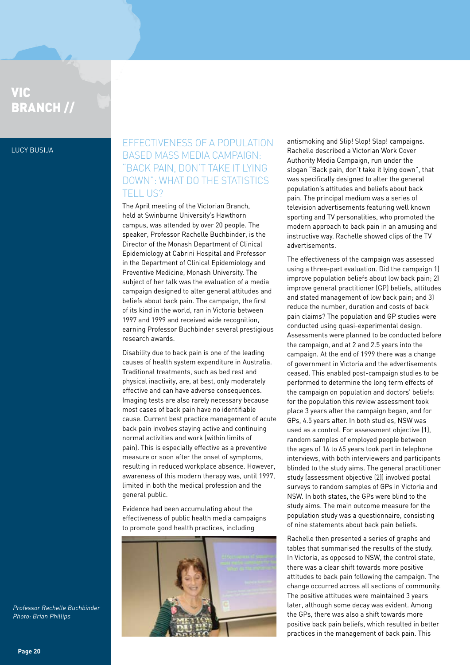### VIC BRANCH //

### Lucy Busija

### Effectiveness of a population based mass media campaign: "Back pain, don't take it lying down": what do the statistics **TELL US?**

The April meeting of the Victorian Branch, held at Swinburne University's Hawthorn campus, was attended by over 20 people. The speaker, Professor Rachelle Buchbinder, is the Director of the Monash Department of Clinical Epidemiology at Cabrini Hospital and Professor in the Department of Clinical Epidemiology and Preventive Medicine, Monash University. The subject of her talk was the evaluation of a media campaign designed to alter general attitudes and beliefs about back pain. The campaign, the first of its kind in the world, ran in Victoria between 1997 and 1999 and received wide recognition, earning Professor Buchbinder several prestigious research awards.

Disability due to back pain is one of the leading causes of health system expenditure in Australia. Traditional treatments, such as bed rest and physical inactivity, are, at best, only moderately effective and can have adverse consequences. Imaging tests are also rarely necessary because most cases of back pain have no identifiable cause. Current best practice management of acute back pain involves staying active and continuing normal activities and work (within limits of pain). This is especially effective as a preventive measure or soon after the onset of symptoms, resulting in reduced workplace absence. However, awareness of this modern therapy was, until 1997, limited in both the medical profession and the general public.

Evidence had been accumulating about the effectiveness of public health media campaigns to promote good health practices, including



antismoking and Slip! Slop! Slap! campaigns. Rachelle described a Victorian Work Cover Authority Media Campaign, run under the slogan "Back pain, don't take it lying down", that was specifically designed to alter the general population's attitudes and beliefs about back pain. The principal medium was a series of television advertisements featuring well known sporting and TV personalities, who promoted the modern approach to back pain in an amusing and instructive way. Rachelle showed clips of the TV advertisements.

The effectiveness of the campaign was assessed using a three-part evaluation. Did the campaign 1) improve population beliefs about low back pain; 2) improve general practitioner (GP) beliefs, attitudes and stated management of low back pain; and 3) reduce the number, duration and costs of back pain claims? The population and GP studies were conducted using quasi-experimental design. Assessments were planned to be conducted before the campaign, and at 2 and 2.5 years into the campaign. At the end of 1999 there was a change of government in Victoria and the advertisements ceased. This enabled post-campaign studies to be performed to determine the long term effects of the campaign on population and doctors' beliefs: for the population this review assessment took place 3 years after the campaign began, and for GPs, 4.5 years after. In both studies, NSW was used as a control. For assessment objective (1), random samples of employed people between the ages of 16 to 65 years took part in telephone interviews, with both interviewers and participants blinded to the study aims. The general practitioner study (assessment objective (2)) involved postal surveys to random samples of GPs in Victoria and NSW. In both states, the GPs were blind to the study aims. The main outcome measure for the population study was a questionnaire, consisting of nine statements about back pain beliefs.

Rachelle then presented a series of graphs and tables that summarised the results of the study. In Victoria, as opposed to NSW, the control state, there was a clear shift towards more positive attitudes to back pain following the campaign. The change occurred across all sections of community. The positive attitudes were maintained 3 years later, although some decay was evident. Among the GPs, there was also a shift towards more positive back pain beliefs, which resulted in better practices in the management of back pain. This

Professor Rachelle Buchbinder Photo: Brian Phillips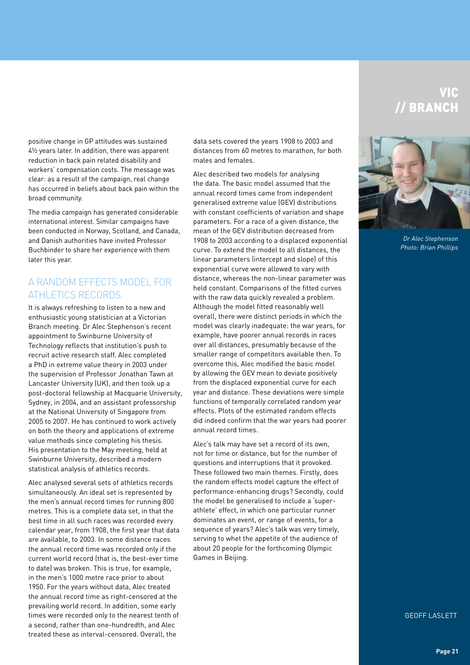positive change in GP attitudes was sustained 4½ years later. In addition, there was apparent reduction in back pain related disability and workers' compensation costs. The message was clear: as a result of the campaign, real change has occurred in beliefs about back pain within the broad community.

The media campaign has generated considerable international interest. Similar campaigns have been conducted in Norway, Scotland, and Canada, and Danish authorities have invited Professor Buchbinder to share her experience with them later this year.

### A random effects model for athletics records

It is always refreshing to listen to a new and enthusiastic young statistician at a Victorian Branch meeting. Dr Alec Stephenson's recent appointment to Swinburne University of Technology reflects that institution's push to recruit active research staff. Alec completed a PhD in extreme value theory in 2003 under the supervision of Professor Jonathan Tawn at Lancaster University (UK), and then took up a post-doctoral fellowship at Macquarie University, Sydney, in 2004, and an assistant professorship at the National University of Singapore from 2005 to 2007. He has continued to work actively on both the theory and applications of extreme value methods since completing his thesis. His presentation to the May meeting, held at Swinburne University, described a modern statistical analysis of athletics records.

Alec analysed several sets of athletics records simultaneously. An ideal set is represented by the men's annual record times for running 800 metres. This is a complete data set, in that the best time in all such races was recorded every calendar year, from 1908, the first year that data are available, to 2003. In some distance races the annual record time was recorded only if the current world record (that is, the best-ever time to date) was broken. This is true, for example, in the men's 1000 metre race prior to about 1950. For the years without data, Alec treated the annual record time as right-censored at the prevailing world record. In addition, some early times were recorded only to the nearest tenth of a second, rather than one-hundredth, and Alec treated these as interval-censored. Overall, the

data sets covered the years 1908 to 2003 and distances from 60 metres to marathon, for both males and females.

Alec described two models for analysing the data. The basic model assumed that the annual record times came from independent generalised extreme value (GEV) distributions with constant coefficients of variation and shape parameters. For a race of a given distance, the mean of the GEV distribution decreased from 1908 to 2003 according to a displaced exponential curve. To extend the model to all distances, the linear parameters (intercept and slope) of this exponential curve were allowed to vary with distance, whereas the non-linear parameter was held constant. Comparisons of the fitted curves with the raw data quickly revealed a problem. Although the model fitted reasonably well overall, there were distinct periods in which the model was clearly inadequate: the war years, for example, have poorer annual records in races over all distances, presumably because of the smaller range of competitors available then. To overcome this, Alec modified the basic model by allowing the GEV mean to deviate positively from the displaced exponential curve for each year and distance. These deviations were simple functions of temporally correlated random year effects. Plots of the estimated random effects did indeed confirm that the war years had poorer annual record times.

Alec's talk may have set a record of its own, not for time or distance, but for the number of questions and interruptions that it provoked. These followed two main themes. Firstly, does the random effects model capture the effect of performance-enhancing drugs? Secondly, could the model be generalised to include a 'superathlete' effect, in which one particular runner dominates an event, or range of events, for a sequence of years? Alec's talk was very timely, serving to whet the appetite of the audience of about 20 people for the forthcoming Olympic Games in Beijing.

### VIC // BRANCH



Dr Alec Stephenson Photo: Brian Phillips

**GEOFF LASLETT**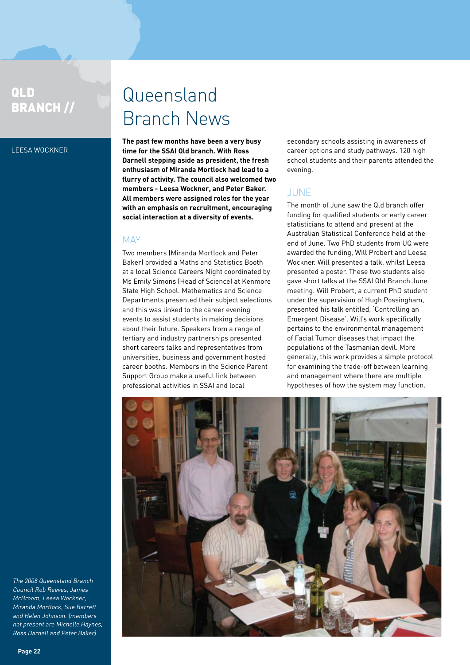# QLD BRANCH //

#### Leesa Wockner

# Queensland Branch News

**The past few months have been a very busy time for the SSAI Qld branch. With Ross Darnell stepping aside as president, the fresh enthusiasm of Miranda Mortlock had lead to a flurry of activity. The council also welcomed two members - Leesa Wockner, and Peter Baker. All members were assigned roles for the year with an emphasis on recruitment, encouraging social interaction at a diversity of events.** 

### **MAY**

Two members (Miranda Mortlock and Peter Baker) provided a Maths and Statistics Booth at a local Science Careers Night coordinated by Ms Emily Simons (Head of Science) at Kenmore State High School. Mathematics and Science Departments presented their subject selections and this was linked to the career evening events to assist students in making decisions about their future. Speakers from a range of tertiary and industry partnerships presented short careers talks and representatives from universities, business and government hosted career booths. Members in the Science Parent Support Group make a useful link between professional activities in SSAI and local

secondary schools assisting in awareness of career options and study pathways. 120 high school students and their parents attended the evening.

### **JUNE**

The month of June saw the Qld branch offer funding for qualified students or early career statisticians to attend and present at the Australian Statistical Conference held at the end of June. Two PhD students from UQ were awarded the funding, Will Probert and Leesa Wockner. Will presented a talk, whilst Leesa presented a poster. These two students also gave short talks at the SSAI Qld Branch June meeting. Will Probert, a current PhD student under the supervision of Hugh Possingham, presented his talk entitled, 'Controlling an Emergent Disease'. Will's work specifically pertains to the environmental management of Facial Tumor diseases that impact the populations of the Tasmanian devil. More generally, this work provides a simple protocol for examining the trade-off between learning and management where there are multiple hypotheses of how the system may function.



The 2008 Queensland Branch Council Rob Reeves, James McBroom, Leesa Wockner, Miranda Mortlock, Sue Barrett and Helen Johnson. (members not present are Michelle Haynes, Ross Darnell and Peter Baker)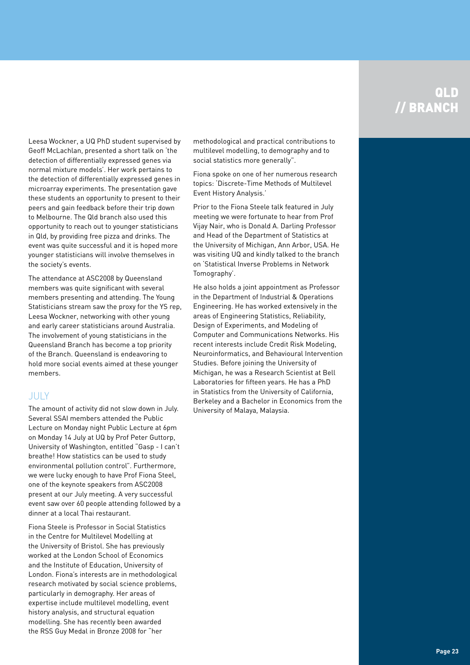### QLD // BRANCH

Leesa Wockner, a UQ PhD student supervised by Geoff McLachlan, presented a short talk on 'the detection of differentially expressed genes via normal mixture models'. Her work pertains to the detection of differentially expressed genes in microarray experiments. The presentation gave these students an opportunity to present to their peers and gain feedback before their trip down to Melbourne. The Qld branch also used this opportunity to reach out to younger statisticians in Qld, by providing free pizza and drinks. The event was quite successful and it is hoped more younger statisticians will involve themselves in the society's events.

The attendance at ASC2008 by Queensland members was quite significant with several members presenting and attending. The Young Statisticians stream saw the proxy for the YS rep, Leesa Wockner, networking with other young and early career statisticians around Australia. The involvement of young statisticians in the Queensland Branch has become a top priority of the Branch. Queensland is endeavoring to hold more social events aimed at these younger members.

### July

The amount of activity did not slow down in July. Several SSAI members attended the Public Lecture on Monday night Public Lecture at 6pm on Monday 14 July at UQ by Prof Peter Guttorp, University of Washington, entitled "Gasp - I can't breathe! How statistics can be used to study environmental pollution control". Furthermore, we were lucky enough to have Prof Fiona Steel, one of the keynote speakers from ASC2008 present at our July meeting. A very successful event saw over 60 people attending followed by a dinner at a local Thai restaurant.

Fiona Steele is Professor in Social Statistics in the Centre for Multilevel Modelling at the University of Bristol. She has previously worked at the London School of Economics and the Institute of Education, University of London. Fiona's interests are in methodological research motivated by social science problems, particularly in demography. Her areas of expertise include multilevel modelling, event history analysis, and structural equation modelling. She has recently been awarded the RSS Guy Medal in Bronze 2008 for "her

methodological and practical contributions to multilevel modelling, to demography and to social statistics more generally".

Fiona spoke on one of her numerous research topics: 'Discrete-Time Methods of Multilevel Event History Analysis.'

Prior to the Fiona Steele talk featured in July meeting we were fortunate to hear from Prof Vijay Nair, who is Donald A. Darling Professor and Head of the Department of Statistics at the University of Michigan, Ann Arbor, USA. He was visiting UQ and kindly talked to the branch on 'Statistical Inverse Problems in Network Tomography'.

He also holds a joint appointment as Professor in the Department of Industrial & Operations Engineering. He has worked extensively in the areas of Engineering Statistics, Reliability, Design of Experiments, and Modeling of Computer and Communications Networks. His recent interests include Credit Risk Modeling, Neuroinformatics, and Behavioural Intervention Studies. Before joining the University of Michigan, he was a Research Scientist at Bell Laboratories for fifteen years. He has a PhD in Statistics from the University of California, Berkeley and a Bachelor in Economics from the University of Malaya, Malaysia.